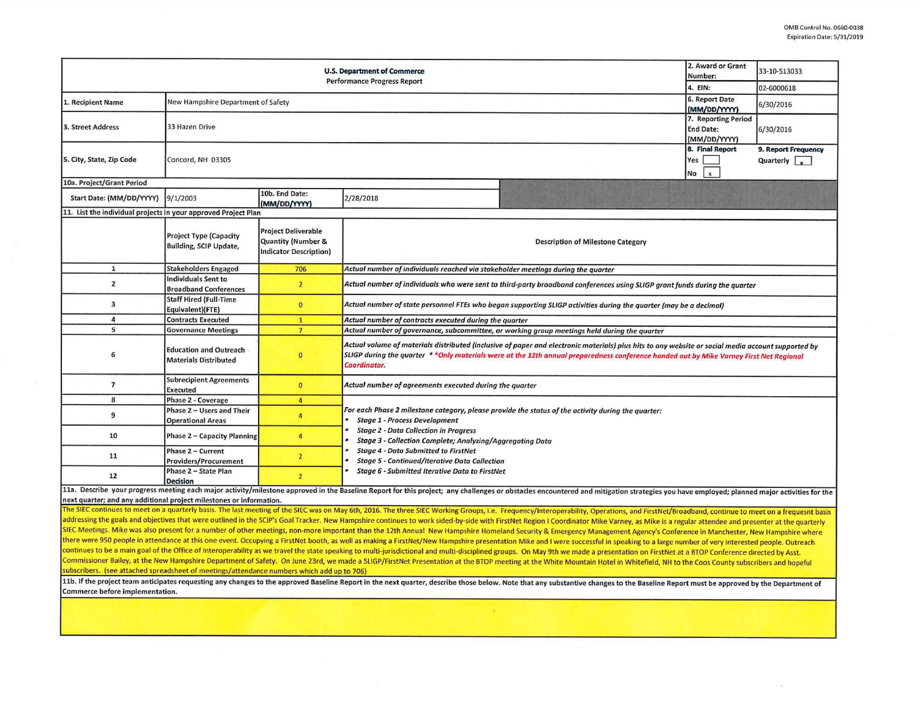|                                                                | 2. Award or Grant<br>33-10-S13033<br>Number:                   |                                                                                             |                                                                                                                                                                                                                                                                                                              |                                             |  |  |  |  |  |
|----------------------------------------------------------------|----------------------------------------------------------------|---------------------------------------------------------------------------------------------|--------------------------------------------------------------------------------------------------------------------------------------------------------------------------------------------------------------------------------------------------------------------------------------------------------------|---------------------------------------------|--|--|--|--|--|
|                                                                |                                                                |                                                                                             | <b>Performance Progress Report</b>                                                                                                                                                                                                                                                                           | 4. EIN:<br>02-6000618                       |  |  |  |  |  |
| 1. Recipient Name                                              | New Hampshire Department of Safety                             |                                                                                             |                                                                                                                                                                                                                                                                                                              | 6. Report Date<br>6/30/2016<br>(MM/DD/YYYY) |  |  |  |  |  |
| 3. Street Address                                              | 33 Hazen Drive                                                 | 7. Reporting Period<br><b>End Date:</b><br>6/30/2016<br>(MM/DD/YYYY)                        |                                                                                                                                                                                                                                                                                                              |                                             |  |  |  |  |  |
| 5. City, State, Zip Code                                       | Concord, NH 03305                                              | 8. Final Report<br>9. Report Frequency<br>Quarterly $\sqrt{\phantom{a}}$<br>Yes<br>$No$ $x$ |                                                                                                                                                                                                                                                                                                              |                                             |  |  |  |  |  |
| 10a. Project/Grant Period                                      |                                                                |                                                                                             |                                                                                                                                                                                                                                                                                                              |                                             |  |  |  |  |  |
| Start Date: (MM/DD/YYYY)                                       | 9/1/2003                                                       | 10b. End Date:<br>(MM/DD/YYYY)                                                              | 2/28/2018                                                                                                                                                                                                                                                                                                    |                                             |  |  |  |  |  |
| 11. List the individual projects in your approved Project Plan |                                                                |                                                                                             |                                                                                                                                                                                                                                                                                                              |                                             |  |  |  |  |  |
|                                                                | <b>Project Type (Capacity</b><br><b>Building, SCIP Update,</b> | <b>Project Deliverable</b><br>Quantity (Number &<br><b>Indicator Description)</b>           | <b>Description of Milestone Category</b>                                                                                                                                                                                                                                                                     |                                             |  |  |  |  |  |
| $\mathbf{1}$                                                   | <b>Stakeholders Engaged</b>                                    | 706                                                                                         | Actual number of individuals reached via stakeholder meetings during the quarter                                                                                                                                                                                                                             |                                             |  |  |  |  |  |
| $\overline{2}$                                                 | Individuals Sent to<br><b>Broadband Conferences</b>            | $\overline{2}$                                                                              | Actual number of individuals who were sent to third-party broadband conferences using SLIGP grant funds during the quarter                                                                                                                                                                                   |                                             |  |  |  |  |  |
| 3                                                              | <b>Staff Hired (Full-Time</b><br>Equivalent)(FTE)              | $\bf{0}$                                                                                    | Actual number of state personnel FTEs who began supporting SLIGP activities during the quarter (may be a decimal)                                                                                                                                                                                            |                                             |  |  |  |  |  |
| $\overline{a}$                                                 | <b>Contracts Executed</b>                                      | $\mathbf{1}$                                                                                | Actual number of contracts executed during the quarter                                                                                                                                                                                                                                                       |                                             |  |  |  |  |  |
| 5                                                              | <b>Governance Meetings</b>                                     | $\overline{7}$                                                                              | Actual number of governance, subcommittee, or working group meetings held during the quarter                                                                                                                                                                                                                 |                                             |  |  |  |  |  |
| 6                                                              | <b>Education and Outreach</b><br><b>Materials Distributed</b>  | $\bf{0}$                                                                                    | Actual volume of materials distributed (inclusive of paper and electronic materials) plus hits to any website or social media account supported by<br>SLIGP during the quarter **Only materials were at the 12th annual preparedness conference handed out by Mike Varney First Net Regional<br>Coordinator. |                                             |  |  |  |  |  |
| $\overline{7}$                                                 | <b>Subrecipient Agreements</b><br>Executed                     | $\mathbf{0}$                                                                                | Actual number of agreements executed during the quarter                                                                                                                                                                                                                                                      |                                             |  |  |  |  |  |
| 8                                                              | Phase 2 - Coverage                                             | $\overline{4}$                                                                              |                                                                                                                                                                                                                                                                                                              |                                             |  |  |  |  |  |
| 9                                                              | Phase 2 - Users and Their<br><b>Operational Areas</b>          | 4                                                                                           | For each Phase 2 milestone category, please provide the status of the activity during the quarter:<br><b>Stage 1 - Process Development</b><br><b>Stage 2 - Data Collection in Progress</b><br><b>Stage 3 - Collection Complete; Analyzing/Aggregating Data</b>                                               |                                             |  |  |  |  |  |
| 10                                                             | Phase 2 - Capacity Planning                                    | $\overline{4}$                                                                              |                                                                                                                                                                                                                                                                                                              |                                             |  |  |  |  |  |
| 11                                                             | Phase 2 - Current<br><b>Providers/Procurement</b>              | $\overline{2}$                                                                              | <b>Stage 4 - Data Submitted to FirstNet</b><br><b>Stage 5 - Continued/Iterative Data Collection</b>                                                                                                                                                                                                          |                                             |  |  |  |  |  |
| 12                                                             | Phase 2 - State Plan<br><b>Decision</b>                        | $\overline{2}$                                                                              | Stage 6 - Submitted Iterative Data to FirstNet                                                                                                                                                                                                                                                               |                                             |  |  |  |  |  |
|                                                                |                                                                |                                                                                             | 11a. Describe your progress meeting each major activity/milestone approved in the Baseline Report for this project; any challenges or obstacles encountered and mitigation strategies you have employed; planned major activit                                                                               |                                             |  |  |  |  |  |

next quarter; and any additional project milestones or information.

The SIEC continues to meet on a quarterly basis. The last meeting of the SIEC was on May 6th, 2016. The three SIEC Working Groups, i.e. Frequency/Interoperability, Operations, and FirstNet/Broadband, continue to meet on a addressing the goals and objectives that were outlined in the SCIP's Goal Tracker. New Hampshire continues to work sided-by-side with FirstNet Region I Coordinator Mike Varney, as Mike is a regular attendee and presenter a SIEC Meetings. Mike was also present for a number of other meetings, non-more important than the 12th Annual New Hampshire Homeland Security & Emergency Management Agency's Conference in Manchester, New Hampshire where there were 950 people in attendance at this one event. Occupying a FirstNet booth, as well as making a FirstNet/New Hampshire presentation Mike and I were successful in speaking to a large number of very interested people. continues to be a main goal of the Office of Interoperability as we travel the state speaking to multi-jurisdictional and multi-disciplined groups. On May 9th we made a presentation on FirstNet at a BTOP Conference directe Commissioner Bailey, at the New Hampshire Department of Safety. On June 23rd, we made a SLIGP/FirstNet Presentation at the BTOP meeting at the White Mountain Hotel in Whitefield, NH to the Coos County subscribers and hopeful subscribers. (see attached spreadsheet of meetings/attendance numbers which add up to 706)

11b. If the project team anticipates requesting any changes to the approved Baseline Report in the next quarter, describe those below. Note that any substantive changes to the Baseline Report must be approved by the Depart Commerce before implementation.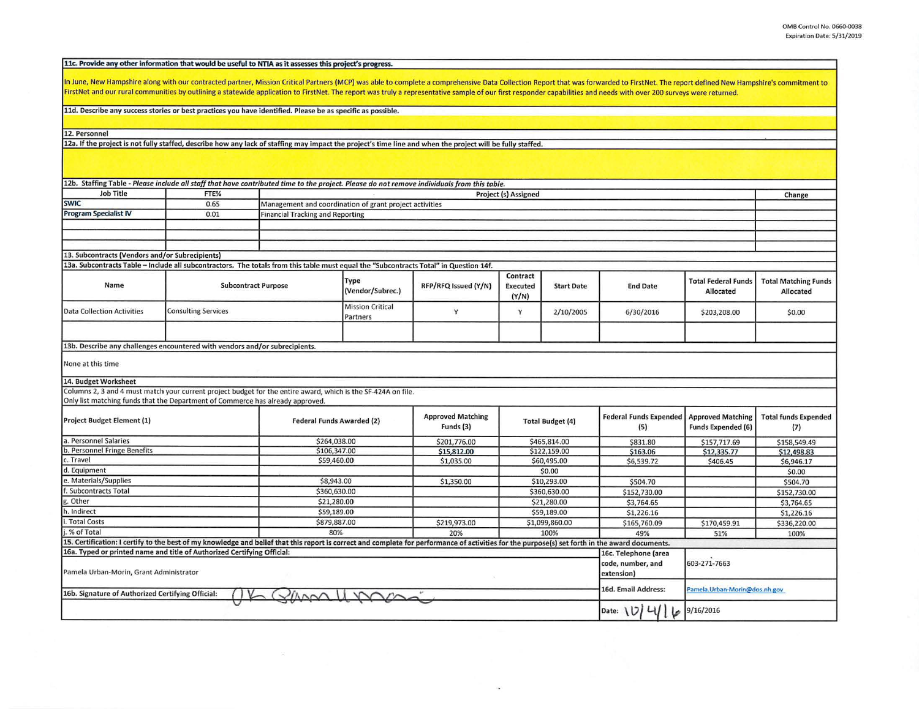11c. Provide any other information that would be useful to NTIA as it assesses this project's progress.

In June, New Hampshire along with our contracted partner, Mission Critical Partners (MCP) was able to complete a comprehensive Data Collection Report that was forwarded to FirstNet. The report defined New Hampshire's commi FirstNet and our rural communities by outlining a statewide application to FirstNet. The report was truly a representative sample of our first responder capabilities and needs with over 200 surveys were returned.

11d. Describe any success stories or best practices you have identified. Please be as specific as possible.

12. Personnel

12a. If the project is not fully staffed, describe how any lack of staffing may impact the project's time line and when the project will be fully staffed.

| 12b. Staffing Table - Please include all staff that have contributed time to the project. Please do not remove individuals from this table.                                                     |                                                 |                                  |                                                         |                                       |                                      |                                      |                                                         |                                         |                                          |
|-------------------------------------------------------------------------------------------------------------------------------------------------------------------------------------------------|-------------------------------------------------|----------------------------------|---------------------------------------------------------|---------------------------------------|--------------------------------------|--------------------------------------|---------------------------------------------------------|-----------------------------------------|------------------------------------------|
| <b>Job Title</b>                                                                                                                                                                                | FTE%                                            |                                  |                                                         |                                       | Project (s) Assigned                 |                                      |                                                         |                                         | Change                                   |
| <b>SWIC</b>                                                                                                                                                                                     | 0.65                                            |                                  | Management and coordination of grant project activities |                                       |                                      |                                      |                                                         |                                         |                                          |
| <b>Program Specialist IV</b>                                                                                                                                                                    | <b>Financial Tracking and Reporting</b><br>0.01 |                                  |                                                         |                                       |                                      |                                      |                                                         |                                         |                                          |
|                                                                                                                                                                                                 |                                                 |                                  |                                                         |                                       |                                      |                                      |                                                         |                                         |                                          |
|                                                                                                                                                                                                 |                                                 |                                  |                                                         |                                       |                                      |                                      |                                                         |                                         |                                          |
|                                                                                                                                                                                                 |                                                 |                                  |                                                         |                                       |                                      |                                      |                                                         |                                         |                                          |
| 13. Subcontracts (Vendors and/or Subrecipients)                                                                                                                                                 |                                                 |                                  |                                                         |                                       |                                      |                                      |                                                         |                                         |                                          |
| 13a. Subcontracts Table - Include all subcontractors. The totals from this table must equal the "Subcontracts Total" in Question 14f.                                                           |                                                 |                                  |                                                         |                                       |                                      |                                      |                                                         |                                         |                                          |
| Name                                                                                                                                                                                            | <b>Subcontract Purpose</b>                      |                                  | Type<br>(Vendor/Subrec.)                                | RFP/RFQ Issued (Y/N)                  | Contract<br><b>Executed</b><br>(Y/N) | <b>Start Date</b>                    | <b>End Date</b>                                         | <b>Total Federal Funds</b><br>Allocated | <b>Total Matching Funds</b><br>Allocated |
| <b>Data Collection Activities</b>                                                                                                                                                               | <b>Consulting Services</b>                      |                                  | <b>Mission Critical</b><br>Partners                     | Y                                     | Y                                    | 2/10/2005                            | 6/30/2016                                               | \$203,208.00                            | \$0.00                                   |
|                                                                                                                                                                                                 |                                                 |                                  |                                                         |                                       |                                      |                                      |                                                         |                                         |                                          |
| 13b. Describe any challenges encountered with vendors and/or subrecipients.                                                                                                                     |                                                 |                                  |                                                         |                                       |                                      |                                      |                                                         |                                         |                                          |
| None at this time                                                                                                                                                                               |                                                 |                                  |                                                         |                                       |                                      |                                      |                                                         |                                         |                                          |
| 14. Budget Worksheet                                                                                                                                                                            |                                                 |                                  |                                                         |                                       |                                      |                                      |                                                         |                                         |                                          |
| Columns 2, 3 and 4 must match your current project budget for the entire award, which is the SF-424A on file.                                                                                   |                                                 |                                  |                                                         |                                       |                                      |                                      |                                                         |                                         |                                          |
| Only list matching funds that the Department of Commerce has already approved.                                                                                                                  |                                                 |                                  |                                                         |                                       |                                      |                                      |                                                         |                                         |                                          |
| Project Budget Element (1)                                                                                                                                                                      |                                                 | <b>Federal Funds Awarded (2)</b> |                                                         | <b>Approved Matching</b><br>Funds (3) | <b>Total Budget (4)</b>              | <b>Federal Funds Expended</b><br>(5) | <b>Approved Matching</b><br><b>Funds Expended (6)</b>   | <b>Total funds Expended</b><br>(7)      |                                          |
| a. Personnel Salaries                                                                                                                                                                           |                                                 |                                  | \$264,038.00                                            | \$201,776.00                          |                                      | \$465,814.00                         | \$831.80                                                | \$157,717.69                            | \$158,549.49                             |
| b. Personnel Fringe Benefits                                                                                                                                                                    |                                                 | \$106,347.00                     |                                                         | \$15,812.00                           | \$122,159.00                         |                                      | \$163.06                                                | \$12,335.77                             | \$12,498.83                              |
| c. Travel                                                                                                                                                                                       |                                                 | \$59,460.00                      |                                                         | \$1,035.00                            |                                      | \$60,495.00                          | \$6,539.72                                              | \$406.45                                | \$6,946.17                               |
| d. Equipment                                                                                                                                                                                    |                                                 |                                  |                                                         |                                       |                                      | \$0.00                               |                                                         |                                         | \$0.00                                   |
| e. Materials/Supplies                                                                                                                                                                           |                                                 | \$8,943.00                       |                                                         | \$1,350.00                            | \$10,293.00                          |                                      | \$504.70                                                |                                         | \$504.70                                 |
| . Subcontracts Total                                                                                                                                                                            |                                                 | \$360,630.00                     |                                                         |                                       | \$360,630.00                         |                                      | \$152,730.00                                            |                                         | \$152,730.00                             |
| g. Other                                                                                                                                                                                        |                                                 |                                  | \$21,280.00                                             |                                       | \$21,280.00                          |                                      | \$3,764.65                                              |                                         | \$3,764.65                               |
| h. Indirect                                                                                                                                                                                     |                                                 |                                  | \$59,189.00                                             |                                       | \$59,189.00                          |                                      | \$1,226.16                                              |                                         | \$1,226.16                               |
| <b>Total Costs</b>                                                                                                                                                                              |                                                 |                                  | \$879,887.00                                            |                                       | \$1,099,860.00                       |                                      | \$165,760.09                                            | \$170,459.91                            | \$336,220.00                             |
| % of Total                                                                                                                                                                                      |                                                 | 80%                              | 20%                                                     | 100%                                  |                                      | 49%                                  | 51%                                                     | 100%                                    |                                          |
| 15. Certification: I certify to the best of my knowledge and belief that this report is correct and complete for performance of activities for the purpose(s) set forth in the award documents. |                                                 |                                  |                                                         |                                       |                                      |                                      |                                                         |                                         |                                          |
| 16a. Typed or printed name and title of Authorized Certifying Official:<br>Pamela Urban-Morin, Grant Administrator                                                                              |                                                 |                                  |                                                         |                                       |                                      |                                      | 16c. Telephone (area<br>code, number, and<br>extension) | 603-271-7663                            |                                          |
| 16b. Signature of Authorized Certifying Official:                                                                                                                                               |                                                 |                                  |                                                         |                                       |                                      |                                      | 16d. Email Address:                                     | Pamela.Urban-Morin@dos.nh.gov           |                                          |
|                                                                                                                                                                                                 |                                                 |                                  |                                                         |                                       |                                      |                                      | Date: $10$<br>b                                         | 9/16/2016                               |                                          |

×.